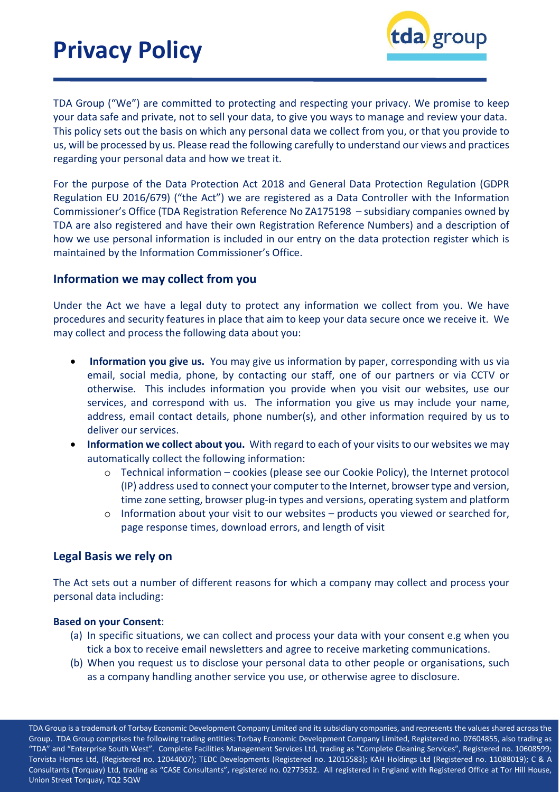

TDA Group ("We") are committed to protecting and respecting your privacy. We promise to keep your data safe and private, not to sell your data, to give you ways to manage and review your data. This policy sets out the basis on which any personal data we collect from you, or that you provide to us, will be processed by us. Please read the following carefully to understand our views and practices regarding your personal data and how we treat it.

For the purpose of the Data Protection Act 2018 and General Data Protection Regulation (GDPR Regulation EU 2016/679) ("the Act") we are registered as a Data Controller with the Information Commissioner's Office (TDA Registration Reference No ZA175198 – subsidiary companies owned by TDA are also registered and have their own Registration Reference Numbers) and a description of how we use personal information is included in our entry on the data protection register which is maintained by the Information Commissioner's Office.

## **Information we may collect from you**

Under the Act we have a legal duty to protect any information we collect from you. We have procedures and security features in place that aim to keep your data secure once we receive it. We may collect and process the following data about you:

- **Information you give us.** You may give us information by paper, corresponding with us via email, social media, phone, by contacting our staff, one of our partners or via CCTV or otherwise. This includes information you provide when you visit our websites, use our services, and correspond with us. The information you give us may include your name, address, email contact details, phone number(s), and other information required by us to deliver our services.
- **Information we collect about you.** With regard to each of your visitsto our websites we may automatically collect the following information:
	- o Technical information cookies (please see our Cookie Policy), the Internet protocol (IP) address used to connect your computerto the Internet, browser type and version, time zone setting, browser plug-in types and versions, operating system and platform
	- $\circ$  Information about your visit to our websites products you viewed or searched for, page response times, download errors, and length of visit

### **Legal Basis we rely on**

The Act sets out a number of different reasons for which a company may collect and process your personal data including:

#### **Based on your Consent**:

- (a) In specific situations, we can collect and process your data with your consent e.g when you tick a box to receive email newsletters and agree to receive marketing communications.
- (b) When you request us to disclose your personal data to other people or organisations, such as a company handling another service you use, or otherwise agree to disclosure.

TDA Group is a trademark of Torbay Economic Development Company Limited and its subsidiary companies, and represents the values shared across the Group. TDA Group comprises the following trading entities: Torbay Economic Development Company Limited, Registered no. 07604855, also trading as "TDA" and "Enterprise South West". Complete Facilities Management Services Ltd, trading as "Complete Cleaning Services", Registered no. 10608599; Torvista Homes Ltd, (Registered no. 12044007); TEDC Developments (Registered no. 12015583); KAH Holdings Ltd (Registered no. 11088019); C & A Consultants (Torquay) Ltd, trading as "CASE Consultants", registered no. 02773632. All registered in England with Registered Office at Tor Hill House, Union Street Torquay, TQ2 5QW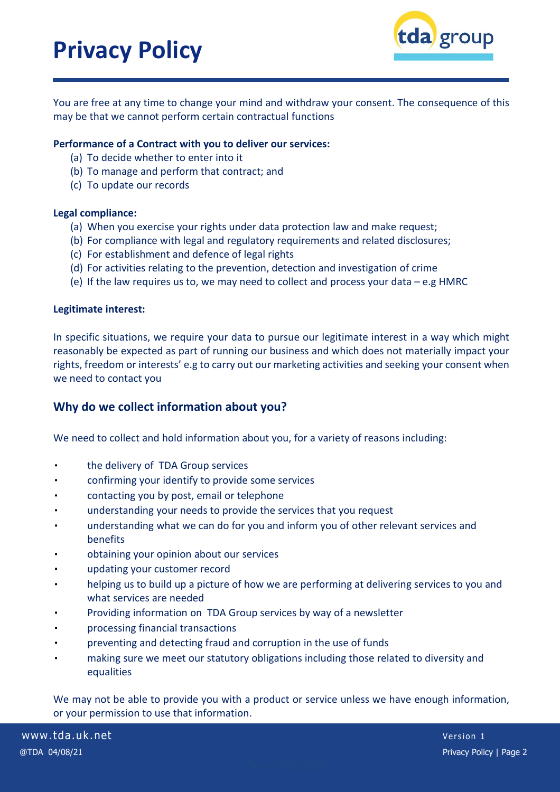

You are free at any time to change your mind and withdraw your consent. The consequence of this may be that we cannot perform certain contractual functions

#### **Performance of a Contract with you to deliver our services:**

- (a) To decide whether to enter into it
- (b) To manage and perform that contract; and
- (c) To update our records

### **Legal compliance:**

- (a) When you exercise your rights under data protection law and make request;
- (b) For compliance with legal and regulatory requirements and related disclosures;
- (c) For establishment and defence of legal rights
- (d) For activities relating to the prevention, detection and investigation of crime
- (e) If the law requires us to, we may need to collect and process your data e.g HMRC

#### **Legitimate interest:**

In specific situations, we require your data to pursue our legitimate interest in a way which might reasonably be expected as part of running our business and which does not materially impact your rights, freedom or interests' e.g to carry out our marketing activities and seeking your consent when we need to contact you

## **Why do we collect information about you?**

We need to collect and hold information about you, for a variety of reasons including:

- the delivery of TDA Group services
- confirming your identify to provide some services
- contacting you by post, email or telephone
- understanding your needs to provide the services that you request
- understanding what we can do for you and inform you of other relevant services and benefits
- obtaining your opinion about our services
- updating your customer record
- helping us to build up a picture of how we are performing at delivering services to you and what services are needed
- Providing information on TDA Group services by way of a newsletter
- processing financial transactions
- preventing and detecting fraud and corruption in the use of funds
- making sure we meet our statutory obligations including those related to diversity and equalities

We may not be able to provide you with a product or service unless we have enough information, or your permission to use that information.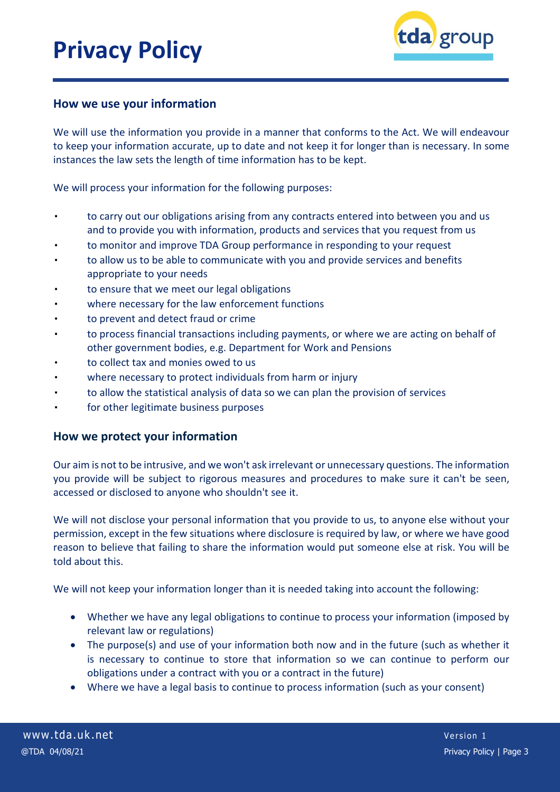

## **How we use your information**

We will use the information you provide in a manner that conforms to the Act. We will endeavour to keep your information accurate, up to date and not keep it for longer than is necessary. In some instances the law sets the length of time information has to be kept.

We will process your information for the following purposes:

- to carry out our obligations arising from any contracts entered into between you and us and to provide you with information, products and services that you request from us
- to monitor and improve TDA Group performance in responding to your request
- to allow us to be able to communicate with you and provide services and benefits appropriate to your needs
- to ensure that we meet our legal obligations
- where necessary for the law enforcement functions
- to prevent and detect fraud or crime
- to process financial transactions including payments, or where we are acting on behalf of other government bodies, e.g. Department for Work and Pensions
- to collect tax and monies owed to us
- where necessary to protect individuals from harm or injury
- to allow the statistical analysis of data so we can plan the provision of services
- for other legitimate business purposes

### **How we protect your information**

Our aim is not to be intrusive, and we won't ask irrelevant or unnecessary questions. The information you provide will be subject to rigorous measures and procedures to make sure it can't be seen, accessed or disclosed to anyone who shouldn't see it.

We will not disclose your personal information that you provide to us, to anyone else without your permission, except in the few situations where disclosure is required by law, or where we have good reason to believe that failing to share the information would put someone else at risk. You will be told about this.

We will not keep your information longer than it is needed taking into account the following:

- Whether we have any legal obligations to continue to process your information (imposed by relevant law or regulations)
- The purpose(s) and use of your information both now and in the future (such as whether it is necessary to continue to store that information so we can continue to perform our obligations under a contract with you or a contract in the future)
- Where we have a legal basis to continue to process information (such as your consent)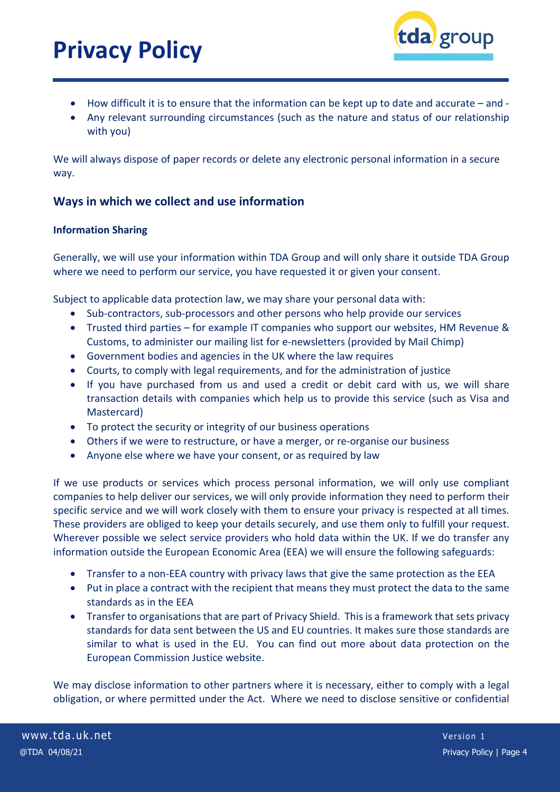

- How difficult it is to ensure that the information can be kept up to date and accurate and -
- Any relevant surrounding circumstances (such as the nature and status of our relationship with you)

We will always dispose of paper records or delete any electronic personal information in a secure way.

# **Ways in which we collect and use information**

### **Information Sharing**

Generally, we will use your information within TDA Group and will only share it outside TDA Group where we need to perform our service, you have requested it or given your consent.

Subject to applicable data protection law, we may share your personal data with:

- Sub-contractors, sub-processors and other persons who help provide our services
- Trusted third parties for example IT companies who support our websites, HM Revenue & Customs, to administer our mailing list for e-newsletters (provided by Mail Chimp)
- Government bodies and agencies in the UK where the law requires
- Courts, to comply with legal requirements, and for the administration of justice
- If you have purchased from us and used a credit or debit card with us, we will share transaction details with companies which help us to provide this service (such as Visa and Mastercard)
- To protect the security or integrity of our business operations
- Others if we were to restructure, or have a merger, or re-organise our business
- Anyone else where we have your consent, or as required by law

If we use products or services which process personal information, we will only use compliant companies to help deliver our services, we will only provide information they need to perform their specific service and we will work closely with them to ensure your privacy is respected at all times. These providers are obliged to keep your details securely, and use them only to fulfill your request. Wherever possible we select service providers who hold data within the UK. If we do transfer any information outside the European Economic Area (EEA) we will ensure the following safeguards:

- Transfer to a non-EEA country with privacy laws that give the same protection as the EEA
- Put in place a contract with the recipient that means they must protect the data to the same standards as in the EEA
- Transfer to organisations that are part of Privacy Shield. This is a framework that sets privacy standards for data sent between the US and EU countries. It makes sure those standards are similar to what is used in the EU. You can find out more about data protection on the European Commission Justice website.

We may disclose information to other partners where it is necessary, either to comply with a legal obligation, or where permitted under the Act. Where we need to disclose sensitive or confidential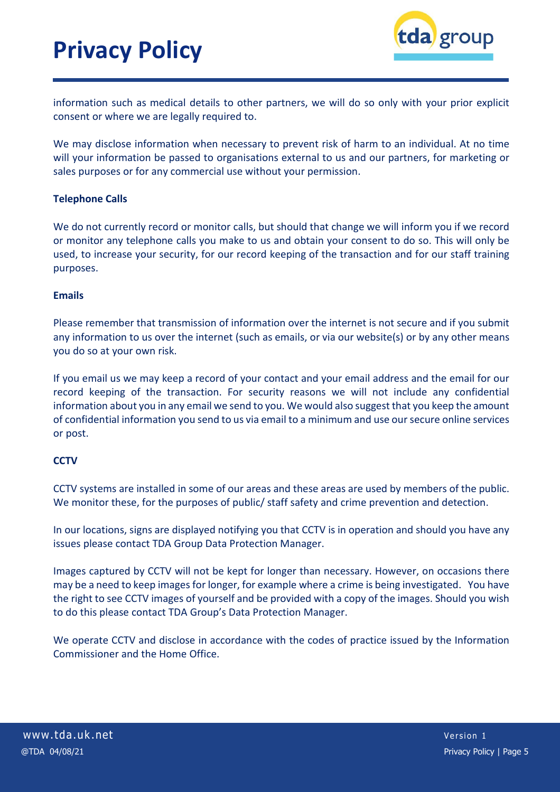

information such as medical details to other partners, we will do so only with your prior explicit consent or where we are legally required to.

We may disclose information when necessary to prevent risk of harm to an individual. At no time will your information be passed to organisations external to us and our partners, for marketing or sales purposes or for any commercial use without your permission.

### **Telephone Calls**

We do not currently record or monitor calls, but should that change we will inform you if we record or monitor any telephone calls you make to us and obtain your consent to do so. This will only be used, to increase your security, for our record keeping of the transaction and for our staff training purposes.

### **Emails**

Please remember that transmission of information over the internet is not secure and if you submit any information to us over the internet (such as emails, or via our website(s) or by any other means you do so at your own risk.

If you email us we may keep a record of your contact and your email address and the email for our record keeping of the transaction. For security reasons we will not include any confidential information about you in any email we send to you. We would also suggest that you keep the amount of confidential information you send to us via email to a minimum and use oursecure online services or post.

### **CCTV**

CCTV systems are installed in some of our areas and these areas are used by members of the public. We monitor these, for the purposes of public/ staff safety and crime prevention and detection.

In our locations, signs are displayed notifying you that CCTV is in operation and should you have any issues please contact TDA Group Data Protection Manager.

Images captured by CCTV will not be kept for longer than necessary. However, on occasions there may be a need to keep imagesfor longer, for example where a crime is being investigated. You have the right to see CCTV images of yourself and be provided with a copy of the images. Should you wish to do this please contact TDA Group's Data Protection Manager.

We operate CCTV and disclose in accordance with the codes of practice issued by the Information Commissioner and the Home Office.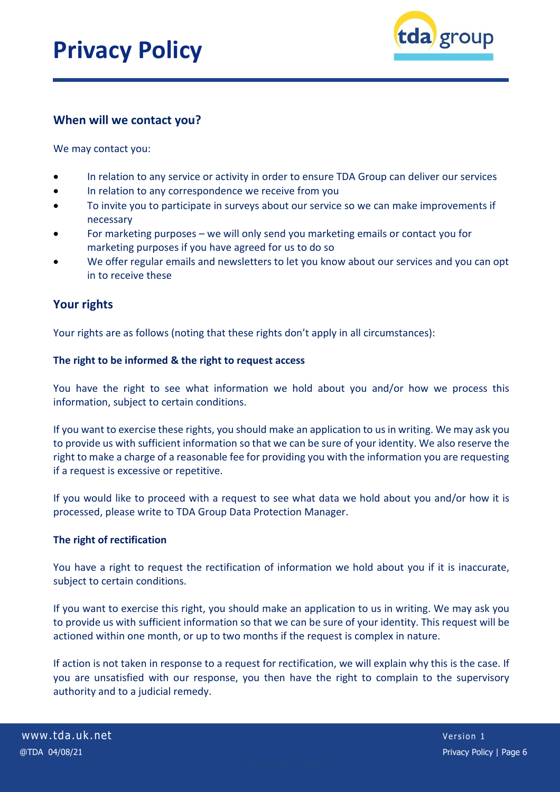

## **When will we contact you?**

We may contact you:

- In relation to any service or activity in order to ensure TDA Group can deliver our services
- In relation to any correspondence we receive from you
- To invite you to participate in surveys about our service so we can make improvements if necessary
- For marketing purposes we will only send you marketing emails or contact you for marketing purposes if you have agreed for us to do so
- We offer regular emails and newsletters to let you know about our services and you can opt in to receive these

# **Your rights**

Your rights are as follows (noting that these rights don't apply in all circumstances):

### **The right to be informed & the right to request access**

You have the right to see what information we hold about you and/or how we process this information, subject to certain conditions.

If you want to exercise these rights, you should make an application to usin writing. We may ask you to provide us with sufficient information so that we can be sure of your identity. We also reserve the right to make a charge of a reasonable fee for providing you with the information you are requesting if a request is excessive or repetitive.

If you would like to proceed with a request to see what data we hold about you and/or how it is processed, please write to TDA Group Data Protection Manager.

### **The right of rectification**

You have a right to request the rectification of information we hold about you if it is inaccurate, subject to certain conditions.

If you want to exercise this right, you should make an application to us in writing. We may ask you to provide us with sufficient information so that we can be sure of your identity. This request will be actioned within one month, or up to two months if the request is complex in nature.

If action is not taken in response to a request for rectification, we will explain why this is the case. If you are unsatisfied with our response, you then have the right to complain to the supervisory authority and to a judicial remedy.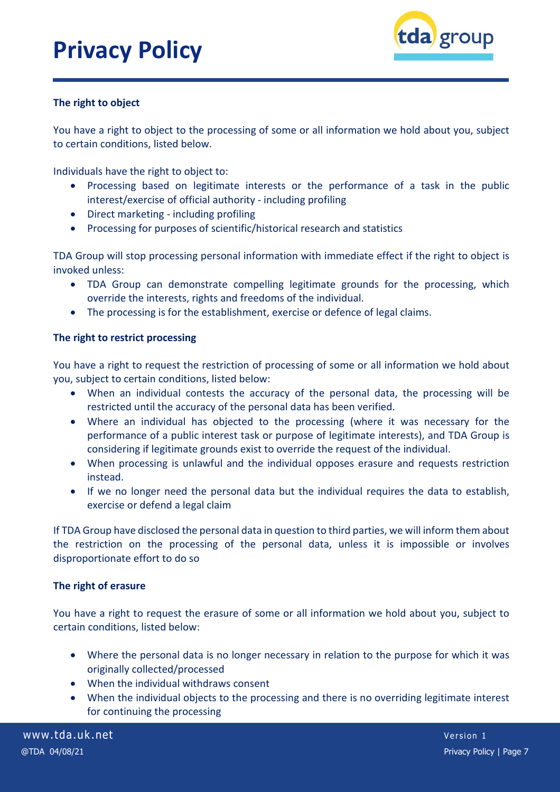

## **The right to object**

You have a right to object to the processing of some or all information we hold about you, subject to certain conditions, listed below.

Individuals have the right to object to:

- Processing based on legitimate interests or the performance of a task in the public interest/exercise of official authority - including profiling
- Direct marketing including profiling
- Processing for purposes of scientific/historical research and statistics

TDA Group will stop processing personal information with immediate effect if the right to object is invoked unless:

- TDA Group can demonstrate compelling legitimate grounds for the processing, which override the interests, rights and freedoms of the individual.
- The processing is for the establishment, exercise or defence of legal claims.

### **The right to restrict processing**

You have a right to request the restriction of processing of some or all information we hold about you, subject to certain conditions, listed below:

- When an individual contests the accuracy of the personal data, the processing will be restricted until the accuracy of the personal data has been verified.
- Where an individual has objected to the processing (where it was necessary for the performance of a public interest task or purpose of legitimate interests), and TDA Group is considering if legitimate grounds exist to override the request of the individual.
- When processing is unlawful and the individual opposes erasure and requests restriction instead.
- If we no longer need the personal data but the individual requires the data to establish, exercise or defend a legal claim

If TDA Group have disclosed the personal data in question to third parties, we will inform them about the restriction on the processing of the personal data, unless it is impossible or involves disproportionate effort to do so

#### **The right of erasure**

You have a right to request the erasure of some or all information we hold about you, subject to certain conditions, listed below:

- Where the personal data is no longer necessary in relation to the purpose for which it was originally collected/processed
- When the individual withdraws consent
- When the individual objects to the processing and there is no overriding legitimate interest for continuing the processing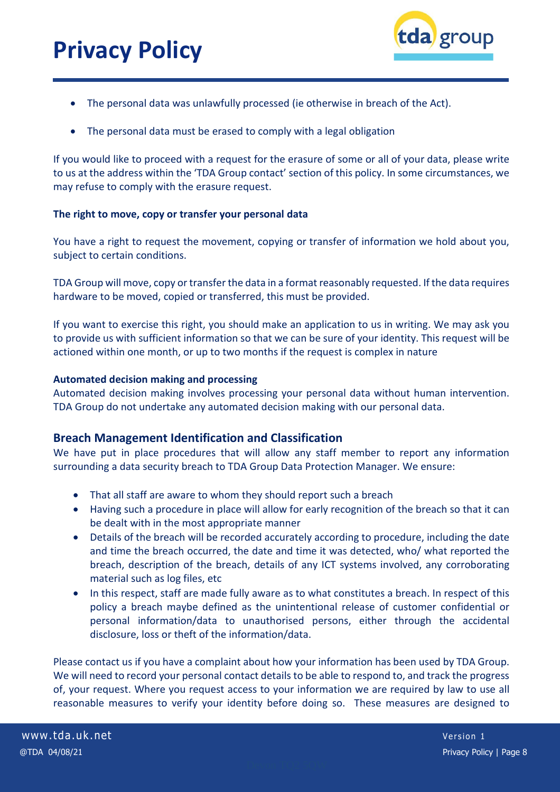

- The personal data was unlawfully processed (ie otherwise in breach of the Act).
- The personal data must be erased to comply with a legal obligation

If you would like to proceed with a request for the erasure of some or all of your data, please write to us at the address within the 'TDA Group contact' section of this policy. In some circumstances, we may refuse to comply with the erasure request.

### **The right to move, copy or transfer your personal data**

You have a right to request the movement, copying or transfer of information we hold about you, subject to certain conditions.

TDA Group will move, copy or transfer the data in a format reasonably requested. If the data requires hardware to be moved, copied or transferred, this must be provided.

If you want to exercise this right, you should make an application to us in writing. We may ask you to provide us with sufficient information so that we can be sure of your identity. This request will be actioned within one month, or up to two months if the request is complex in nature

### **Automated decision making and processing**

Automated decision making involves processing your personal data without human intervention. TDA Group do not undertake any automated decision making with our personal data.

### **Breach Management Identification and Classification**

We have put in place procedures that will allow any staff member to report any information surrounding a data security breach to TDA Group Data Protection Manager. We ensure:

- That all staff are aware to whom they should report such a breach
- Having such a procedure in place will allow for early recognition of the breach so that it can be dealt with in the most appropriate manner
- Details of the breach will be recorded accurately according to procedure, including the date and time the breach occurred, the date and time it was detected, who/ what reported the breach, description of the breach, details of any ICT systems involved, any corroborating material such as log files, etc
- In this respect, staff are made fully aware as to what constitutes a breach. In respect of this policy a breach maybe defined as the unintentional release of customer confidential or personal information/data to unauthorised persons, either through the accidental disclosure, loss or theft of the information/data.

Please contact us if you have a complaint about how your information has been used by TDA Group. We will need to record your personal contact details to be able to respond to, and track the progress of, your request. Where you request access to your information we are required by law to use all reasonable measures to verify your identity before doing so. These measures are designed to